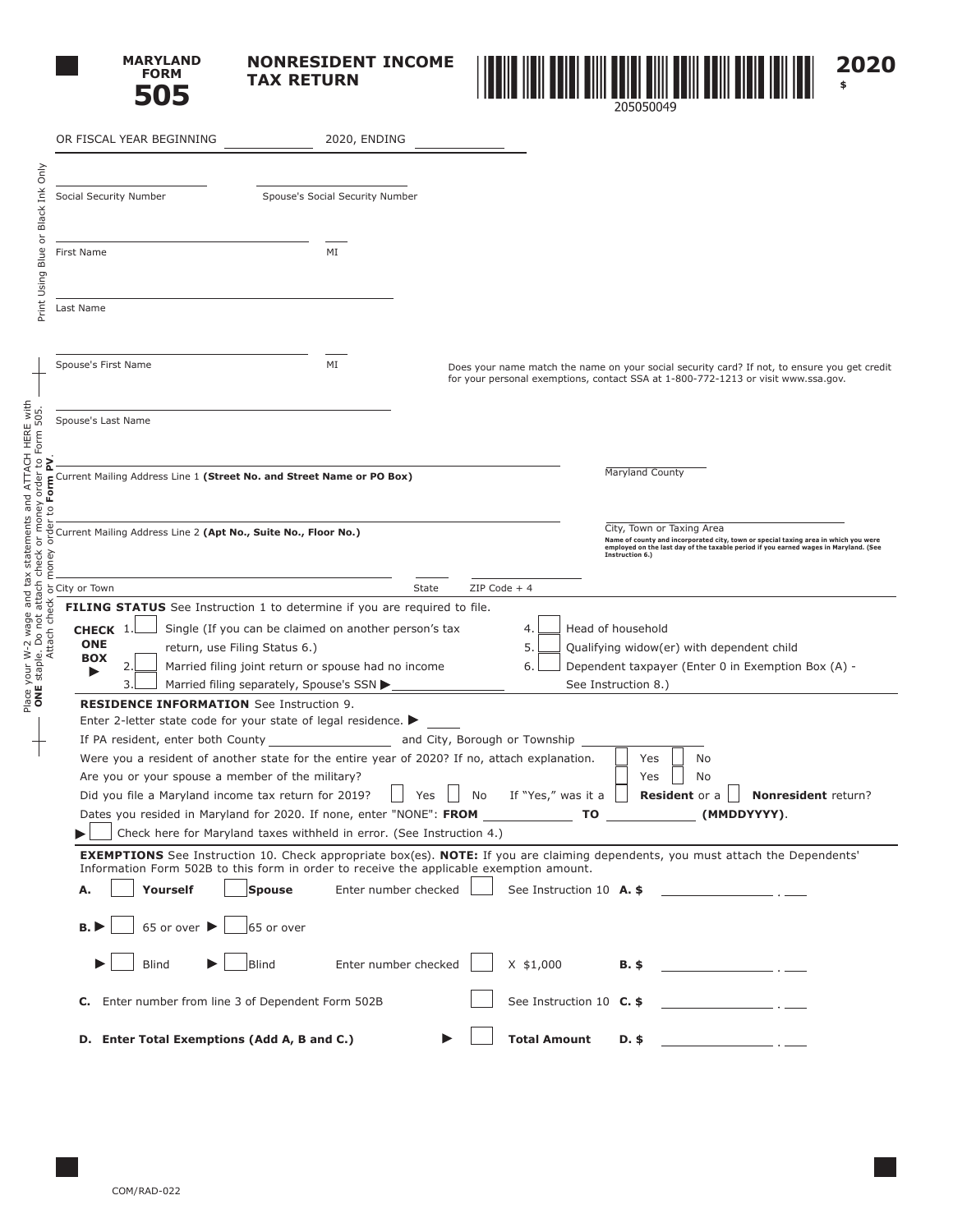

**NONRESIDENT INCOME TAX RETURN**



| OR FISCAL YEAR BEGINNING                                                                                                                                                                                                                | 2020, ENDING                                                                                                                                                                                                                                                                   |                                                                                                                                                                                                                             |
|-----------------------------------------------------------------------------------------------------------------------------------------------------------------------------------------------------------------------------------------|--------------------------------------------------------------------------------------------------------------------------------------------------------------------------------------------------------------------------------------------------------------------------------|-----------------------------------------------------------------------------------------------------------------------------------------------------------------------------------------------------------------------------|
| Social Security Number                                                                                                                                                                                                                  | Spouse's Social Security Number                                                                                                                                                                                                                                                |                                                                                                                                                                                                                             |
|                                                                                                                                                                                                                                         |                                                                                                                                                                                                                                                                                |                                                                                                                                                                                                                             |
| First Name                                                                                                                                                                                                                              | MI                                                                                                                                                                                                                                                                             |                                                                                                                                                                                                                             |
| Last Name                                                                                                                                                                                                                               |                                                                                                                                                                                                                                                                                |                                                                                                                                                                                                                             |
| Spouse's First Name                                                                                                                                                                                                                     | MI                                                                                                                                                                                                                                                                             | Does your name match the name on your social security card? If not, to ensure you get credit<br>for your personal exemptions, contact SSA at 1-800-772-1213 or visit www.ssa.gov.                                           |
| Spouse's Last Name                                                                                                                                                                                                                      |                                                                                                                                                                                                                                                                                |                                                                                                                                                                                                                             |
|                                                                                                                                                                                                                                         | Current Mailing Address Line 1 (Street No. and Street Name or PO Box)                                                                                                                                                                                                          | <b>Maryland County</b>                                                                                                                                                                                                      |
| Current Mailing Address Line 2 (Apt No., Suite No., Floor No.)                                                                                                                                                                          |                                                                                                                                                                                                                                                                                | City, Town or Taxing Area<br>Name of county and incorporated city, town or special taxing area in which you were<br>employed on the last day of the taxable period if you earned wages in Maryland. (See<br>Instruction 6.) |
| City or Town                                                                                                                                                                                                                            |                                                                                                                                                                                                                                                                                | $ZIP Code + 4$<br>State                                                                                                                                                                                                     |
| Place your W-2 wage and tax statements and ATTACH HERE with<br><b>ONE</b> staple. Do not attach check or money order to Form 505.<br>Attach check or money order to <b>Form PV</b> .<br>CHECK 1.<br><b>ONE</b><br><b>BOX</b><br>2<br>3. | <b>FILING STATUS</b> See Instruction 1 to determine if you are required to file.<br>Single (If you can be claimed on another person's tax<br>return, use Filing Status 6.)<br>Married filing joint return or spouse had no income<br>Married filing separately, Spouse's SSN ▶ | Head of household<br>4<br>5.<br>Qualifying widow(er) with dependent child<br>6.<br>Dependent taxpayer (Enter 0 in Exemption Box (A) -<br>See Instruction 8.)                                                                |
| <b>RESIDENCE INFORMATION</b> See Instruction 9.                                                                                                                                                                                         | Enter 2-letter state code for your state of legal residence. $\blacktriangleright$                                                                                                                                                                                             |                                                                                                                                                                                                                             |
| Are you or your spouse a member of the military?                                                                                                                                                                                        | If PA resident, enter both County<br>Were you a resident of another state for the entire year of 2020? If no, attach explanation.                                                                                                                                              | and City, Borough or Township<br>No<br>Yes<br>Yes<br>No                                                                                                                                                                     |
| Did you file a Maryland income tax return for 2019?                                                                                                                                                                                     | Dates you resided in Maryland for 2020. If none, enter "NONE": FROM                                                                                                                                                                                                            | If "Yes," was it a<br><b>Resident</b> or a<br>Nonresident return?<br>Yes<br>No<br>(MMDDYYYY)<br>ΤO                                                                                                                          |
|                                                                                                                                                                                                                                         | Check here for Maryland taxes withheld in error. (See Instruction 4.)                                                                                                                                                                                                          | <b>EXEMPTIONS</b> See Instruction 10. Check appropriate box(es). <b>NOTE:</b> If you are claiming dependents, you must attach the Dependents'                                                                               |
| Yourself<br>Α.                                                                                                                                                                                                                          | Information Form 502B to this form in order to receive the applicable exemption amount.<br>Enter number checked<br><b>Spouse</b>                                                                                                                                               | See Instruction 10 A. \$                                                                                                                                                                                                    |
| 65 or over $\blacktriangleright$<br>B.                                                                                                                                                                                                  | 65 or over                                                                                                                                                                                                                                                                     |                                                                                                                                                                                                                             |
| <b>Blind</b>                                                                                                                                                                                                                            | Enter number checked<br><b>Blind</b>                                                                                                                                                                                                                                           | $X$ \$1,000<br>$B.$ \$                                                                                                                                                                                                      |
|                                                                                                                                                                                                                                         | C. Enter number from line 3 of Dependent Form 502B                                                                                                                                                                                                                             | See Instruction 10 C. \$                                                                                                                                                                                                    |
| D. Enter Total Exemptions (Add A, B and C.)                                                                                                                                                                                             |                                                                                                                                                                                                                                                                                | <b>Total Amount</b><br>D. \$                                                                                                                                                                                                |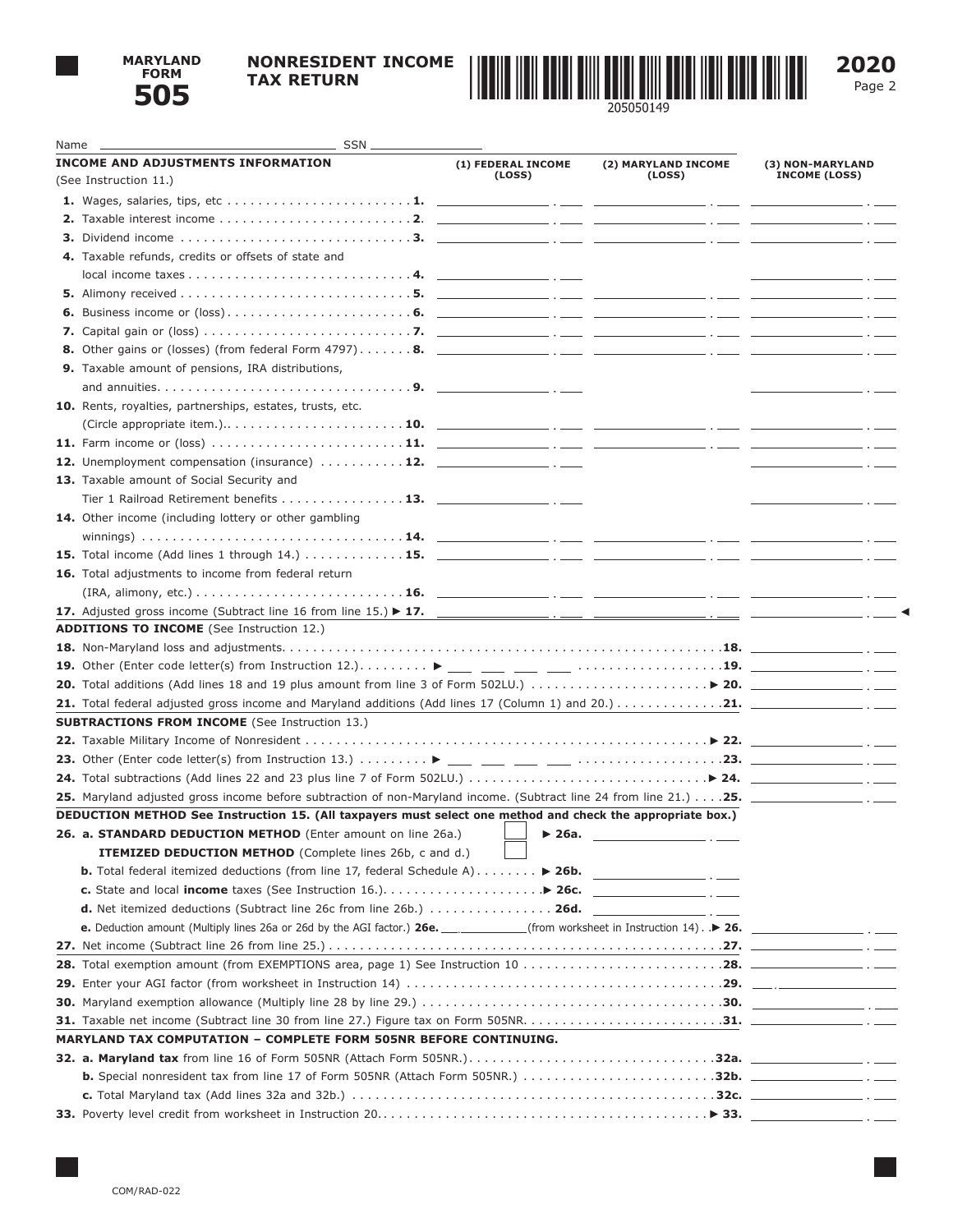

## **NONRESIDENT INCOME TAX RETURN**



Page 2

| Name | $\overline{\phantom{1}}$ SSN $\overline{\phantom{1}}$                                                                                                  |                            |                                             |                                                                                                                       |
|------|--------------------------------------------------------------------------------------------------------------------------------------------------------|----------------------------|---------------------------------------------|-----------------------------------------------------------------------------------------------------------------------|
|      | <b>INCOME AND ADJUSTMENTS INFORMATION</b>                                                                                                              | (1) FEDERAL INCOME         | (2) MARYLAND INCOME                         | (3) NON-MARYLAND                                                                                                      |
|      | (See Instruction 11.)                                                                                                                                  | (LOSS)                     | (LOSS)                                      | <b>INCOME (LOSS)</b>                                                                                                  |
|      |                                                                                                                                                        |                            |                                             |                                                                                                                       |
|      |                                                                                                                                                        |                            |                                             |                                                                                                                       |
|      |                                                                                                                                                        |                            |                                             |                                                                                                                       |
|      | 4. Taxable refunds, credits or offsets of state and                                                                                                    |                            |                                             |                                                                                                                       |
|      |                                                                                                                                                        |                            |                                             | <u> 2000 - Jan James James III, president populari president populari president populari populari populari popula</u> |
|      |                                                                                                                                                        |                            |                                             |                                                                                                                       |
|      |                                                                                                                                                        |                            |                                             |                                                                                                                       |
|      |                                                                                                                                                        |                            |                                             |                                                                                                                       |
|      |                                                                                                                                                        |                            |                                             |                                                                                                                       |
|      | 9. Taxable amount of pensions, IRA distributions,                                                                                                      |                            |                                             |                                                                                                                       |
|      |                                                                                                                                                        |                            |                                             |                                                                                                                       |
|      | 10. Rents, royalties, partnerships, estates, trusts, etc.                                                                                              |                            |                                             |                                                                                                                       |
|      |                                                                                                                                                        |                            |                                             |                                                                                                                       |
|      |                                                                                                                                                        |                            |                                             |                                                                                                                       |
|      | <b>12.</b> Unemployment compensation (insurance) $\dots \dots \dots \dots$ <b>12.</b> $\qquad \qquad \dots$                                            |                            |                                             | <u> 1989 - Johann Barnett, fransk konge</u>                                                                           |
|      | 13. Taxable amount of Social Security and                                                                                                              |                            |                                             |                                                                                                                       |
|      | Tier 1 Railroad Retirement benefits 13. $\Box$                                                                                                         |                            |                                             |                                                                                                                       |
|      | 14. Other income (including lottery or other gambling                                                                                                  |                            |                                             |                                                                                                                       |
|      |                                                                                                                                                        |                            |                                             |                                                                                                                       |
|      |                                                                                                                                                        |                            |                                             |                                                                                                                       |
|      | 16. Total adjustments to income from federal return                                                                                                    |                            |                                             |                                                                                                                       |
|      |                                                                                                                                                        |                            |                                             |                                                                                                                       |
|      |                                                                                                                                                        |                            |                                             |                                                                                                                       |
|      | <b>ADDITIONS TO INCOME</b> (See Instruction 12.)                                                                                                       |                            |                                             |                                                                                                                       |
|      |                                                                                                                                                        |                            |                                             |                                                                                                                       |
|      |                                                                                                                                                        |                            |                                             |                                                                                                                       |
|      | 20. Total additions (Add lines 18 and 19 plus amount from line 3 of Form 502LU.) $\ldots \ldots \ldots \ldots \ldots \blacktriangleright$ 20. $\ldots$ |                            |                                             |                                                                                                                       |
|      |                                                                                                                                                        |                            |                                             |                                                                                                                       |
|      | <b>SUBTRACTIONS FROM INCOME</b> (See Instruction 13.)                                                                                                  |                            |                                             |                                                                                                                       |
|      |                                                                                                                                                        |                            |                                             |                                                                                                                       |
|      |                                                                                                                                                        |                            |                                             |                                                                                                                       |
|      |                                                                                                                                                        |                            |                                             |                                                                                                                       |
|      | DEDUCTION METHOD See Instruction 15. (All taxpayers must select one method and check the appropriate box.)                                             |                            |                                             |                                                                                                                       |
|      | 26. a. STANDARD DEDUCTION METHOD (Enter amount on line 26a.)                                                                                           | $\blacktriangleright$ 26a. |                                             |                                                                                                                       |
|      | <b>ITEMIZED DEDUCTION METHOD</b> (Complete lines 26b, c and d.)                                                                                        |                            | <u> 1980 - Jan Barbara Barbara, masa ka</u> |                                                                                                                       |
|      | <b>b.</b> Total federal itemized deductions (from line 17, federal Schedule A) $\ldots \ldots$ > 26b.                                                  |                            |                                             |                                                                                                                       |
|      |                                                                                                                                                        |                            |                                             |                                                                                                                       |
|      | <b>d.</b> Net itemized deductions (Subtract line 26c from line 26b.) $\ldots \ldots \ldots \ldots \ldots$ 26d.                                         |                            |                                             |                                                                                                                       |
|      | e. Deduction amount (Multiply lines 26a or 26d by the AGI factor.) 26e. ____________(from worksheet in Instruction 14). ▶ 26. _____________________.   |                            |                                             |                                                                                                                       |
|      |                                                                                                                                                        |                            |                                             |                                                                                                                       |
|      |                                                                                                                                                        |                            |                                             |                                                                                                                       |
|      |                                                                                                                                                        |                            |                                             |                                                                                                                       |
|      |                                                                                                                                                        |                            |                                             |                                                                                                                       |
|      |                                                                                                                                                        |                            |                                             |                                                                                                                       |
|      | <b>MARYLAND TAX COMPUTATION - COMPLETE FORM 505NR BEFORE CONTINUING.</b>                                                                               |                            |                                             |                                                                                                                       |
|      |                                                                                                                                                        |                            |                                             |                                                                                                                       |
|      | b. Special nonresident tax from line 17 of Form 505NR (Attach Form 505NR.) 32b. ________________.                                                      |                            |                                             |                                                                                                                       |
|      |                                                                                                                                                        |                            |                                             |                                                                                                                       |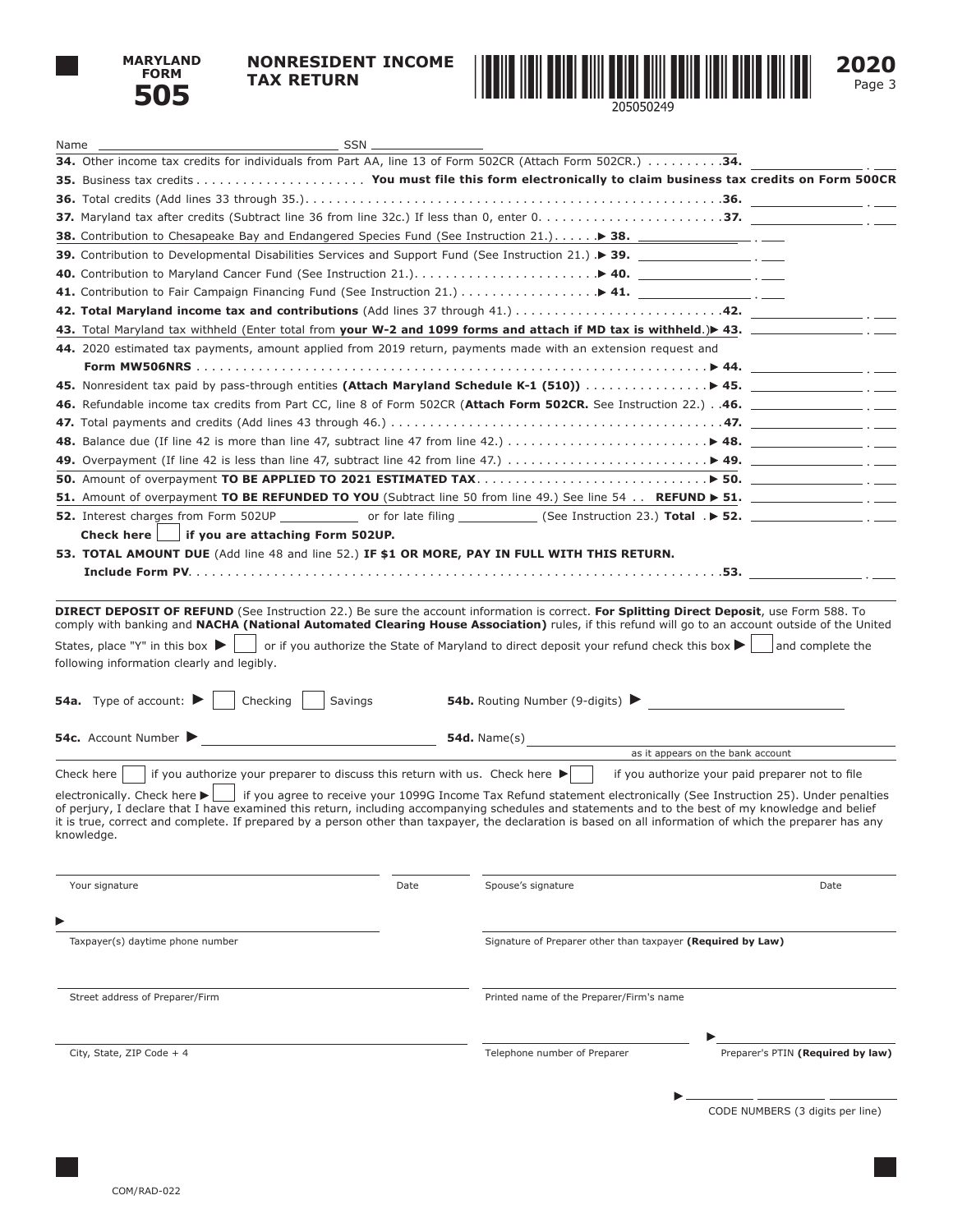

## **NONRESIDENT INCOME TAX RETURN**





| 34. Other income tax credits for individuals from Part AA, line 13 of Form 502CR (Attach Form 502CR.) 34.                                                                                                                                                                                                                                                                                                                                                                        |      |                                                             |                                                                                                                               |
|----------------------------------------------------------------------------------------------------------------------------------------------------------------------------------------------------------------------------------------------------------------------------------------------------------------------------------------------------------------------------------------------------------------------------------------------------------------------------------|------|-------------------------------------------------------------|-------------------------------------------------------------------------------------------------------------------------------|
|                                                                                                                                                                                                                                                                                                                                                                                                                                                                                  |      |                                                             |                                                                                                                               |
|                                                                                                                                                                                                                                                                                                                                                                                                                                                                                  |      |                                                             |                                                                                                                               |
|                                                                                                                                                                                                                                                                                                                                                                                                                                                                                  |      |                                                             |                                                                                                                               |
| 38. Contribution to Chesapeake Bay and Endangered Species Fund (See Instruction 21.) > 38. ________________.                                                                                                                                                                                                                                                                                                                                                                     |      |                                                             |                                                                                                                               |
| 39. Contribution to Developmental Disabilities Services and Support Fund (See Instruction 21.) > 39.                                                                                                                                                                                                                                                                                                                                                                             |      |                                                             |                                                                                                                               |
|                                                                                                                                                                                                                                                                                                                                                                                                                                                                                  |      |                                                             |                                                                                                                               |
|                                                                                                                                                                                                                                                                                                                                                                                                                                                                                  |      |                                                             |                                                                                                                               |
|                                                                                                                                                                                                                                                                                                                                                                                                                                                                                  |      |                                                             |                                                                                                                               |
| 43. Total Maryland tax withheld (Enter total from your W-2 and 1099 forms and attach if MD tax is withheld.) 43. __________________.                                                                                                                                                                                                                                                                                                                                             |      |                                                             |                                                                                                                               |
| 44. 2020 estimated tax payments, amount applied from 2019 return, payments made with an extension request and                                                                                                                                                                                                                                                                                                                                                                    |      |                                                             |                                                                                                                               |
|                                                                                                                                                                                                                                                                                                                                                                                                                                                                                  |      |                                                             |                                                                                                                               |
|                                                                                                                                                                                                                                                                                                                                                                                                                                                                                  |      |                                                             |                                                                                                                               |
| 46. Refundable income tax credits from Part CC, line 8 of Form 502CR (Attach Form 502CR. See Instruction 22.)46.                                                                                                                                                                                                                                                                                                                                                                 |      |                                                             |                                                                                                                               |
|                                                                                                                                                                                                                                                                                                                                                                                                                                                                                  |      |                                                             |                                                                                                                               |
|                                                                                                                                                                                                                                                                                                                                                                                                                                                                                  |      |                                                             |                                                                                                                               |
| 49. Overpayment (If line 42 is less than line 47, subtract line 42 from line 47.) $\ldots \ldots \ldots \ldots \ldots \ldots$ > 49.                                                                                                                                                                                                                                                                                                                                              |      |                                                             |                                                                                                                               |
|                                                                                                                                                                                                                                                                                                                                                                                                                                                                                  |      |                                                             |                                                                                                                               |
|                                                                                                                                                                                                                                                                                                                                                                                                                                                                                  |      |                                                             |                                                                                                                               |
|                                                                                                                                                                                                                                                                                                                                                                                                                                                                                  |      |                                                             |                                                                                                                               |
| Check here $\vert \ \vert$ if you are attaching Form 502UP.                                                                                                                                                                                                                                                                                                                                                                                                                      |      |                                                             |                                                                                                                               |
| 53. TOTAL AMOUNT DUE (Add line 48 and line 52.) IF \$1 OR MORE, PAY IN FULL WITH THIS RETURN.                                                                                                                                                                                                                                                                                                                                                                                    |      |                                                             |                                                                                                                               |
|                                                                                                                                                                                                                                                                                                                                                                                                                                                                                  |      |                                                             |                                                                                                                               |
|                                                                                                                                                                                                                                                                                                                                                                                                                                                                                  |      |                                                             |                                                                                                                               |
| States, place "Y" in this box $\blacktriangleright$  <br>following information clearly and legibly.                                                                                                                                                                                                                                                                                                                                                                              |      |                                                             | or if you authorize the State of Maryland to direct deposit your refund check this box $\blacktriangleright$ and complete the |
| <b>54a.</b> Type of account: $\blacktriangleright$<br>Savings<br>Checking                                                                                                                                                                                                                                                                                                                                                                                                        |      | <b>54b.</b> Routing Number (9-digits) $\blacktriangleright$ |                                                                                                                               |
| 54c. Account Number<br><u> 1990 - Johann Barbara, martin a</u>                                                                                                                                                                                                                                                                                                                                                                                                                   |      |                                                             |                                                                                                                               |
|                                                                                                                                                                                                                                                                                                                                                                                                                                                                                  |      |                                                             | as it appears on the bank account                                                                                             |
| if you authorize your preparer to discuss this return with us. Check here $\blacktriangleright$<br>Check here $ $                                                                                                                                                                                                                                                                                                                                                                |      |                                                             | if you authorize your paid preparer not to file                                                                               |
| electronically. Check here ► if you agree to receive your 1099G Income Tax Refund statement electronically (See Instruction 25). Under penalties<br>of perjury, I declare that I have examined this return, including accompanying schedules and statements and to the best of my knowledge and belief<br>it is true, correct and complete. If prepared by a person other than taxpayer, the declaration is based on all information of which the preparer has any<br>knowledge. |      |                                                             |                                                                                                                               |
| Your signature                                                                                                                                                                                                                                                                                                                                                                                                                                                                   | Date | Spouse's signature                                          | Date                                                                                                                          |
|                                                                                                                                                                                                                                                                                                                                                                                                                                                                                  |      |                                                             |                                                                                                                               |
| Taxpayer(s) daytime phone number                                                                                                                                                                                                                                                                                                                                                                                                                                                 |      | Signature of Preparer other than taxpayer (Required by Law) |                                                                                                                               |
|                                                                                                                                                                                                                                                                                                                                                                                                                                                                                  |      |                                                             |                                                                                                                               |
| Street address of Preparer/Firm                                                                                                                                                                                                                                                                                                                                                                                                                                                  |      | Printed name of the Preparer/Firm's name                    |                                                                                                                               |
| City, State, ZIP Code + 4                                                                                                                                                                                                                                                                                                                                                                                                                                                        |      | Telephone number of Preparer                                | Preparer's PTIN (Required by law)                                                                                             |
|                                                                                                                                                                                                                                                                                                                                                                                                                                                                                  |      |                                                             | CODE NUMBERS (3 digits per line)                                                                                              |